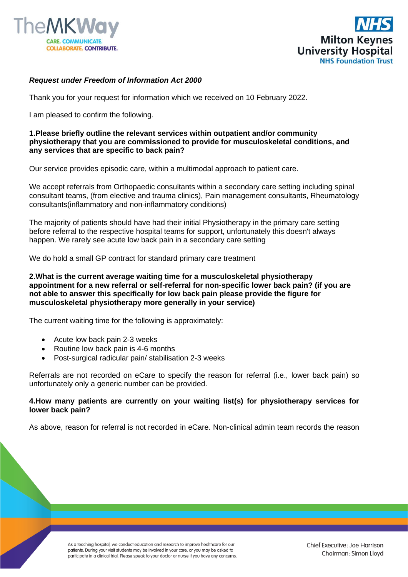



# *Request under Freedom of Information Act 2000*

Thank you for your request for information which we received on 10 February 2022.

I am pleased to confirm the following.

### **1.Please briefly outline the relevant services within outpatient and/or community physiotherapy that you are commissioned to provide for musculoskeletal conditions, and any services that are specific to back pain?**

Our service provides episodic care, within a multimodal approach to patient care.

We accept referrals from Orthopaedic consultants within a secondary care setting including spinal consultant teams, (from elective and trauma clinics), Pain management consultants, Rheumatology consultants(inflammatory and non-inflammatory conditions)

The majority of patients should have had their initial Physiotherapy in the primary care setting before referral to the respective hospital teams for support, unfortunately this doesn't always happen. We rarely see acute low back pain in a secondary care setting

We do hold a small GP contract for standard primary care treatment

**2.What is the current average waiting time for a musculoskeletal physiotherapy appointment for a new referral or self-referral for non-specific lower back pain? (if you are not able to answer this specifically for low back pain please provide the figure for musculoskeletal physiotherapy more generally in your service)**

The current waiting time for the following is approximately:

- Acute low back pain 2-3 weeks
- Routine low back pain is 4-6 months
- Post-surgical radicular pain/ stabilisation 2-3 weeks

Referrals are not recorded on eCare to specify the reason for referral (i.e., lower back pain) so unfortunately only a generic number can be provided.

# **4.How many patients are currently on your waiting list(s) for physiotherapy services for lower back pain?**

As above, reason for referral is not recorded in eCare. Non-clinical admin team records the reason

As a teaching hospital, we conduct education and research to improve healthcare for our patients. During your visit students may be involved in your care, or you may be asked to participate in a clinical trial. Please speak to your doctor or nurse if you have any concerns.